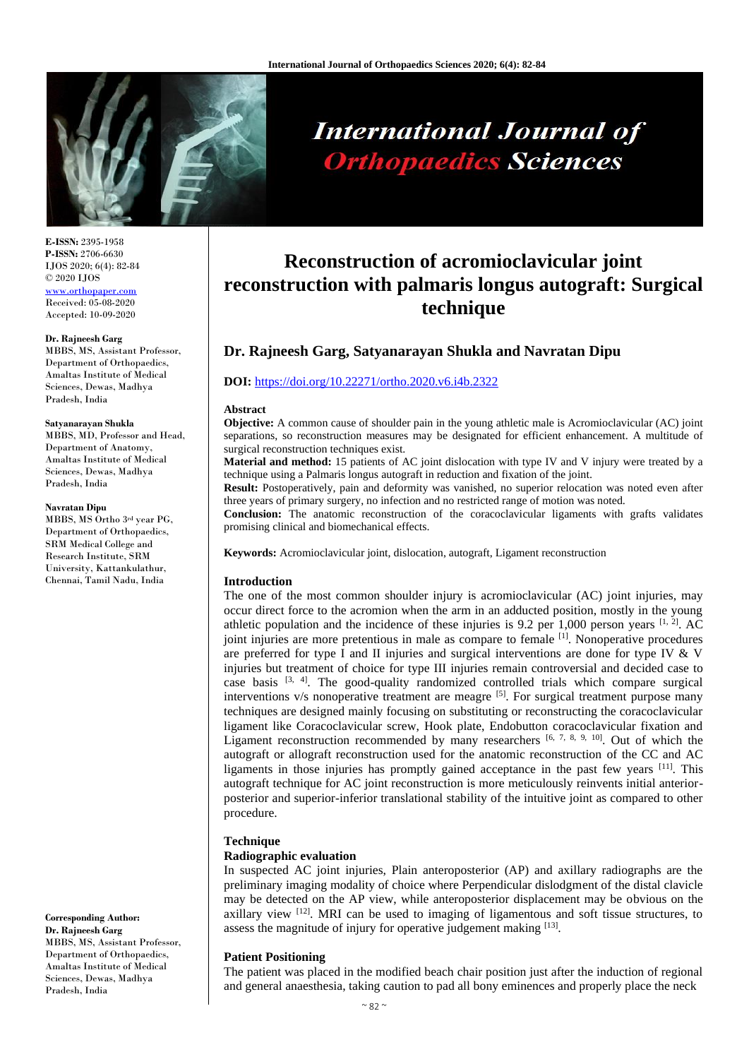

# **International Journal of Orthopaedics Sciences**

**E-ISSN:** 2395-1958 **P-ISSN:** 2706-6630 IJOS 2020; 6(4): 82-84 © 2020 IJOS [www.orthopaper.com](http://www.orthopaper.com/) Received: 05-08-2020 Accepted: 10-09-2020

## **Dr. Rajneesh Garg**

MBBS, MS, Assistant Professor, Department of Orthopaedics, Amaltas Institute of Medical Sciences, Dewas, Madhya Pradesh, India

#### **Satyanarayan Shukla**

MBBS, MD, Professor and Head, Department of Anatomy, Amaltas Institute of Medical Sciences, Dewas, Madhya Pradesh, India

#### **Navratan Dipu**

MBBS, MS Ortho 3 rd year PG, Department of Orthopaedics, SRM Medical College and Research Institute, SRM University, Kattankulathur, Chennai, Tamil Nadu, India

**Corresponding Author: Dr. Rajneesh Garg** MBBS, MS, Assistant Professor, Department of Orthopaedics, Amaltas Institute of Medical Sciences, Dewas, Madhya Pradesh, India

# **Reconstruction of acromioclavicular joint reconstruction with palmaris longus autograft: Surgical technique**

# **Dr. Rajneesh Garg, Satyanarayan Shukla and Navratan Dipu**

# **DOI:** <https://doi.org/10.22271/ortho.2020.v6.i4b.2322>

### **Abstract**

**Objective:** A common cause of shoulder pain in the young athletic male is Acromioclavicular (AC) joint separations, so reconstruction measures may be designated for efficient enhancement. A multitude of surgical reconstruction techniques exist.

**Material and method:** 15 patients of AC joint dislocation with type IV and V injury were treated by a technique using a Palmaris longus autograft in reduction and fixation of the joint.

**Result:** Postoperatively, pain and deformity was vanished, no superior relocation was noted even after three years of primary surgery, no infection and no restricted range of motion was noted.

**Conclusion:** The anatomic reconstruction of the coracoclavicular ligaments with grafts validates promising clinical and biomechanical effects.

**Keywords:** Acromioclavicular joint, dislocation, autograft, Ligament reconstruction

# **Introduction**

The one of the most common shoulder injury is acromioclavicular (AC) joint injuries, may occur direct force to the acromion when the arm in an adducted position, mostly in the young athletic population and the incidence of these injuries is 9.2 per 1,000 person years  $[1, 2]$ . AC joint injuries are more pretentious in male as compare to female  $\left[1\right]$ . Nonoperative procedures are preferred for type I and II injuries and surgical interventions are done for type IV & V injuries but treatment of choice for type III injuries remain controversial and decided case to case basis  $[3, 4]$ . The good-quality randomized controlled trials which compare surgical interventions v/s nonoperative treatment are meagre [5]. For surgical treatment purpose many techniques are designed mainly focusing on substituting or reconstructing the coracoclavicular ligament like Coracoclavicular screw, Hook plate, Endobutton coracoclavicular fixation and Ligament reconstruction recommended by many researchers  $[6, 7, 8, 9, 10]$ . Out of which the autograft or allograft reconstruction used for the anatomic reconstruction of the CC and AC ligaments in those injuries has promptly gained acceptance in the past few years [11]. This autograft technique for AC joint reconstruction is more meticulously reinvents initial anteriorposterior and superior-inferior translational stability of the intuitive joint as compared to other procedure.

# **Technique**

# **Radiographic evaluation**

In suspected AC joint injuries, Plain anteroposterior (AP) and axillary radiographs are the preliminary imaging modality of choice where Perpendicular dislodgment of the distal clavicle may be detected on the AP view, while anteroposterior displacement may be obvious on the axillary view  $[12]$ . MRI can be used to imaging of ligamentous and soft tissue structures, to assess the magnitude of injury for operative judgement making  $[13]$ .

# **Patient Positioning**

The patient was placed in the modified beach chair position just after the induction of regional and general anaesthesia, taking caution to pad all bony eminences and properly place the neck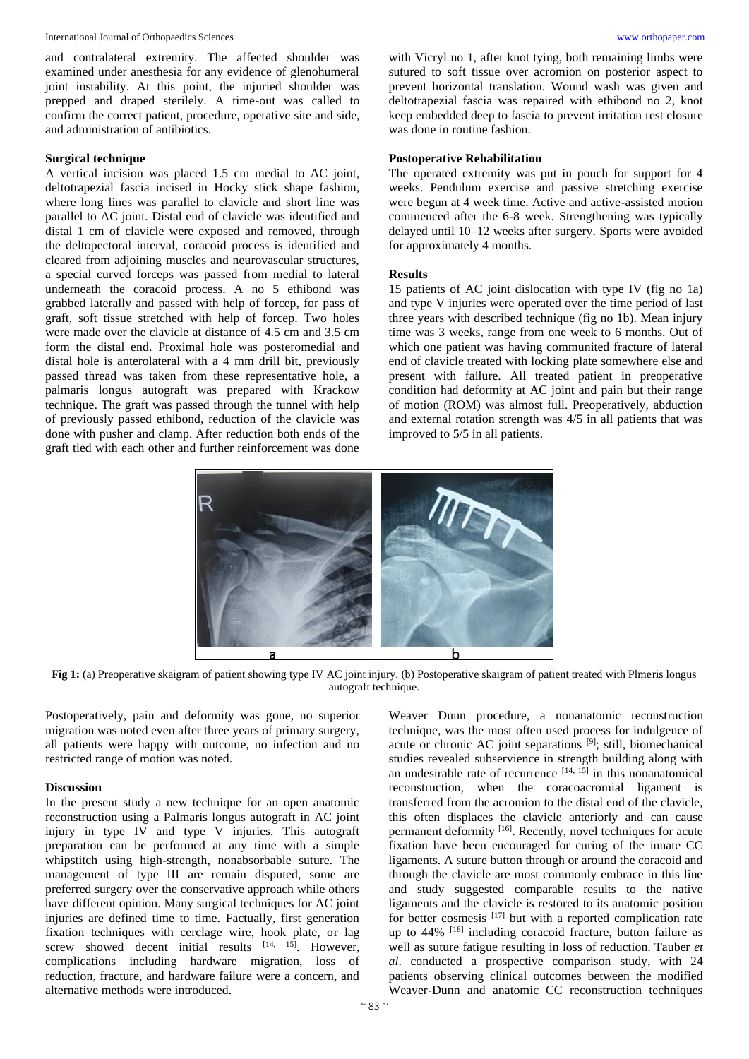International Journal of Orthopaedics Sciences [www.orthopaper.com](http://www.orthopaper.com/)

and contralateral extremity. The affected shoulder was examined under anesthesia for any evidence of glenohumeral joint instability. At this point, the injuried shoulder was prepped and draped sterilely. A time-out was called to confirm the correct patient, procedure, operative site and side, and administration of antibiotics.

# **Surgical technique**

A vertical incision was placed 1.5 cm medial to AC joint, deltotrapezial fascia incised in Hocky stick shape fashion, where long lines was parallel to clavicle and short line was parallel to AC joint. Distal end of clavicle was identified and distal 1 cm of clavicle were exposed and removed, through the deltopectoral interval, coracoid process is identified and cleared from adjoining muscles and neurovascular structures, a special curved forceps was passed from medial to lateral underneath the coracoid process. A no 5 ethibond was grabbed laterally and passed with help of forcep, for pass of graft, soft tissue stretched with help of forcep. Two holes were made over the clavicle at distance of 4.5 cm and 3.5 cm form the distal end. Proximal hole was posteromedial and distal hole is anterolateral with a 4 mm drill bit, previously passed thread was taken from these representative hole, a palmaris longus autograft was prepared with Krackow technique. The graft was passed through the tunnel with help of previously passed ethibond, reduction of the clavicle was done with pusher and clamp. After reduction both ends of the graft tied with each other and further reinforcement was done

with Vicryl no 1, after knot tying, both remaining limbs were sutured to soft tissue over acromion on posterior aspect to prevent horizontal translation. Wound wash was given and deltotrapezial fascia was repaired with ethibond no 2, knot keep embedded deep to fascia to prevent irritation rest closure was done in routine fashion.

# **Postoperative Rehabilitation**

The operated extremity was put in pouch for support for 4 weeks. Pendulum exercise and passive stretching exercise were begun at 4 week time. Active and active-assisted motion commenced after the 6-8 week. Strengthening was typically delayed until 10–12 weeks after surgery. Sports were avoided for approximately 4 months.

# **Results**

15 patients of AC joint dislocation with type IV (fig no 1a) and type V injuries were operated over the time period of last three years with described technique (fig no 1b). Mean injury time was 3 weeks, range from one week to 6 months. Out of which one patient was having communited fracture of lateral end of clavicle treated with locking plate somewhere else and present with failure. All treated patient in preoperative condition had deformity at AC joint and pain but their range of motion (ROM) was almost full. Preoperatively, abduction and external rotation strength was 4/5 in all patients that was improved to 5/5 in all patients.



**Fig 1:** (a) Preoperative skaigram of patient showing type IV AC joint injury. (b) Postoperative skaigram of patient treated with Plmeris longus autograft technique.

Postoperatively, pain and deformity was gone, no superior migration was noted even after three years of primary surgery, all patients were happy with outcome, no infection and no restricted range of motion was noted.

# **Discussion**

In the present study a new technique for an open anatomic reconstruction using a Palmaris longus autograft in AC joint injury in type IV and type V injuries. This autograft preparation can be performed at any time with a simple whipstitch using high-strength, nonabsorbable suture. The management of type III are remain disputed, some are preferred surgery over the conservative approach while others have different opinion. Many surgical techniques for AC joint injuries are defined time to time. Factually, first generation fixation techniques with cerclage wire, hook plate, or lag screw showed decent initial results  $[14, 15]$ . However, complications including hardware migration, loss of reduction, fracture, and hardware failure were a concern, and alternative methods were introduced.

Weaver Dunn procedure, a nonanatomic reconstruction technique, was the most often used process for indulgence of acute or chronic AC joint separations [9]; still, biomechanical studies revealed subservience in strength building along with an undesirable rate of recurrence  $[14, 15]$  in this nonanatomical reconstruction, when the coracoacromial ligament is transferred from the acromion to the distal end of the clavicle, this often displaces the clavicle anteriorly and can cause permanent deformity [16]. Recently, novel techniques for acute fixation have been encouraged for curing of the innate CC ligaments. A suture button through or around the coracoid and through the clavicle are most commonly embrace in this line and study suggested comparable results to the native ligaments and the clavicle is restored to its anatomic position for better cosmesis [17] but with a reported complication rate up to  $44\%$  <sup>[18]</sup> including coracoid fracture, button failure as well as suture fatigue resulting in loss of reduction. Tauber *et al*. conducted a prospective comparison study, with 24 patients observing clinical outcomes between the modified Weaver-Dunn and anatomic CC reconstruction techniques